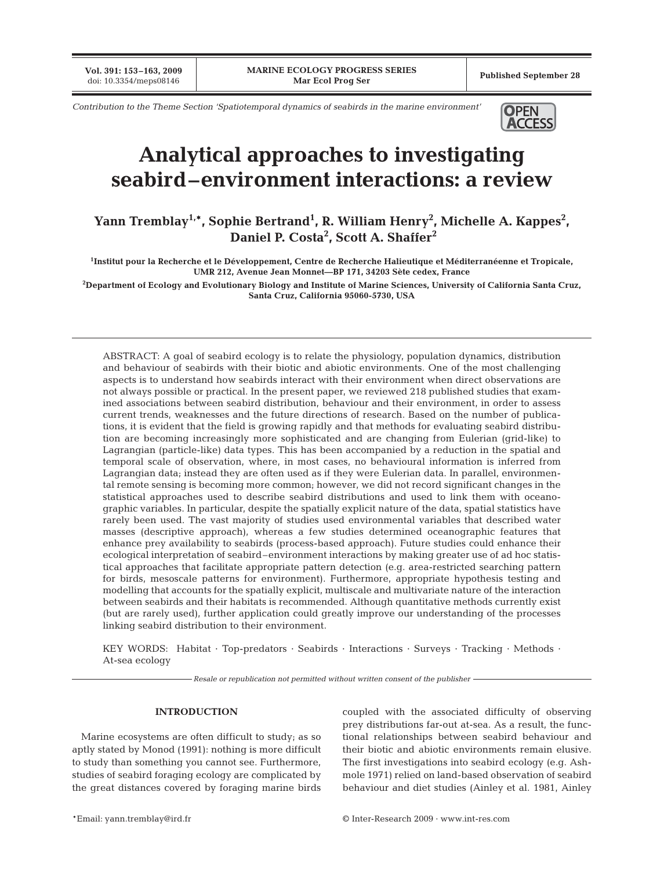**Vol. 391: 153–163, 2009**

*Contribution to the Theme Section 'Spatiotemporal dynamics of seabirds in the marine environment'* **OPEN** 



# **Analytical approaches to investigating seabird–environment interactions: a review**

Yann Tremblay<sup>1,</sup>\*, Sophie Bertrand<sup>1</sup>, R. William Henry<sup>2</sup>, Michelle A. Kappes<sup>2</sup>, **Daniel P. Costa2 , Scott A. Shaffer2**

**1 Institut pour la Recherche et le Développement, Centre de Recherche Halieutique et Méditerranéenne et Tropicale, UMR 212, Avenue Jean Monnet—BP 171, 34203 Sète cedex, France**

**2 Department of Ecology and Evolutionary Biology and Institute of Marine Sciences, University of California Santa Cruz, Santa Cruz, California 95060-5730, USA**

ABSTRACT: A goal of seabird ecology is to relate the physiology, population dynamics, distribution and behaviour of seabirds with their biotic and abiotic environments. One of the most challenging aspects is to understand how seabirds interact with their environment when direct observations are not always possible or practical. In the present paper, we reviewed 218 published studies that examined associations between seabird distribution, behaviour and their environment, in order to assess current trends, weaknesses and the future directions of research. Based on the number of publications, it is evident that the field is growing rapidly and that methods for evaluating seabird distribution are becoming increasingly more sophisticated and are changing from Eulerian (grid-like) to Lagrangian (particle-like) data types. This has been accompanied by a reduction in the spatial and temporal scale of observation, where, in most cases, no behavioural information is inferred from Lagrangian data; instead they are often used as if they were Eulerian data. In parallel, environmental remote sensing is becoming more common; however, we did not record significant changes in the statistical approaches used to describe seabird distributions and used to link them with oceanographic variables. In particular, despite the spatially explicit nature of the data, spatial statistics have rarely been used. The vast majority of studies used environmental variables that described water masses (descriptive approach), whereas a few studies determined oceanographic features that enhance prey availability to seabirds (process-based approach). Future studies could enhance their ecological interpretation of seabird–environment interactions by making greater use of ad hoc statistical approaches that facilitate appropriate pattern detection (e.g. area-restricted searching pattern for birds, mesoscale patterns for environment). Furthermore, appropriate hypothesis testing and modelling that accounts for the spatially explicit, multiscale and multivariate nature of the interaction between seabirds and their habitats is recommended. Although quantitative methods currently exist (but are rarely used), further application could greatly improve our understanding of the processes linking seabird distribution to their environment.

KEY WORDS: Habitat · Top-predators · Seabirds · Interactions · Surveys · Tracking · Methods · At-sea ecology

*Resale or republication not permitted without written consent of the publisher*

## **INTRODUCTION**

Marine ecosystems are often difficult to study; as so aptly stated by Monod (1991): nothing is more difficult to study than something you cannot see. Furthermore, studies of seabird foraging ecology are complicated by the great distances covered by foraging marine birds

coupled with the associated difficulty of observing prey distributions far-out at-sea. As a result, the functional relationships between seabird behaviour and their biotic and abiotic environments remain elusive. The first investigations into seabird ecology (e.g. Ashmole 1971) relied on land-based observation of seabird behaviour and diet studies (Ainley et al. 1981, Ainley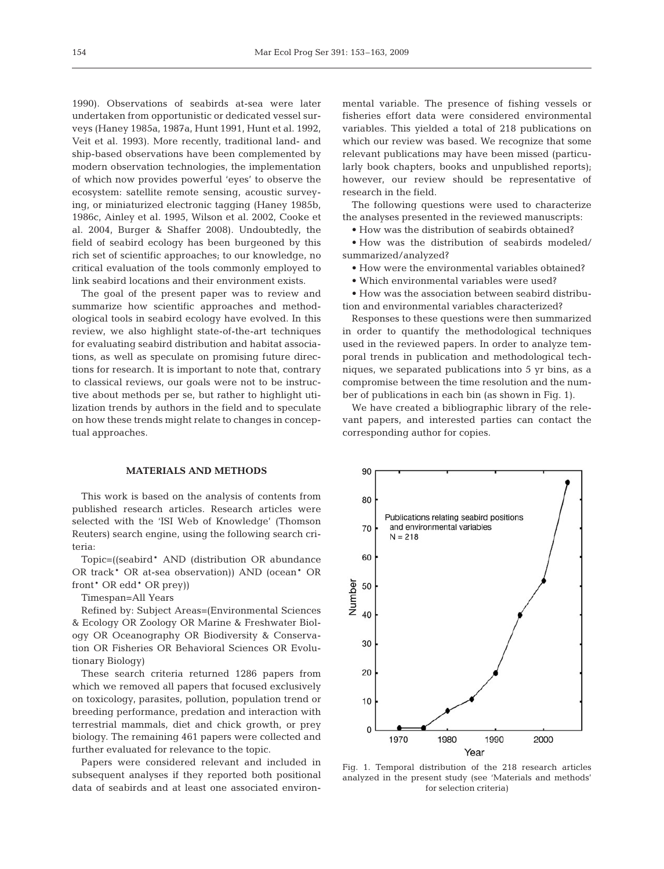1990). Observations of seabirds at-sea were later undertaken from opportunistic or dedicated vessel surveys (Haney 1985a, 1987a, Hunt 1991, Hunt et al. 1992, Veit et al. 1993). More recently, traditional land- and ship-based observations have been complemented by modern observation technologies, the implementation of which now provides powerful 'eyes' to observe the ecosystem: satellite remote sensing, acoustic surveying, or miniaturized electronic tagging (Haney 1985b, 1986c, Ainley et al. 1995, Wilson et al. 2002, Cooke et al. 2004, Burger & Shaffer 2008). Undoubtedly, the field of seabird ecology has been burgeoned by this rich set of scientific approaches; to our knowledge, no critical evaluation of the tools commonly employed to link seabird locations and their environment exists.

The goal of the present paper was to review and summarize how scientific approaches and methodological tools in seabird ecology have evolved. In this review, we also highlight state-of-the-art techniques for evaluating seabird distribution and habitat associations, as well as speculate on promising future directions for research. It is important to note that, contrary to classical reviews, our goals were not to be instructive about methods per se, but rather to highlight utilization trends by authors in the field and to speculate on how these trends might relate to changes in conceptual approaches.

## **MATERIALS AND METHODS**

This work is based on the analysis of contents from published research articles. Research articles were selected with the 'ISI Web of Knowledge' (Thomson Reuters) search engine, using the following search criteria:

Topic=((seabird\* AND (distribution OR abundance OR track\* OR at-sea observation)) AND (ocean\* OR front\* OR edd\* OR prey))

Timespan=All Years

Refined by: Subject Areas=(Environmental Sciences & Ecology OR Zoology OR Marine & Freshwater Biology OR Oceanography OR Biodiversity & Conservation OR Fisheries OR Behavioral Sciences OR Evolutionary Biology)

These search criteria returned 1286 papers from which we removed all papers that focused exclusively on toxicology, parasites, pollution, population trend or breeding performance, predation and interaction with terrestrial mammals, diet and chick growth, or prey biology. The remaining 461 papers were collected and further evaluated for relevance to the topic.

Papers were considered relevant and included in subsequent analyses if they reported both positional data of seabirds and at least one associated environmental variable. The presence of fishing vessels or fisheries effort data were considered environmental variables. This yielded a total of 218 publications on which our review was based. We recognize that some relevant publications may have been missed (particularly book chapters, books and unpublished reports); however, our review should be representative of research in the field.

The following questions were used to characterize the analyses presented in the reviewed manuscripts:

• How was the distribution of seabirds obtained?

• How was the distribution of seabirds modeled/ summarized/analyzed?

• How were the environmental variables obtained?

• Which environmental variables were used?

• How was the association between seabird distribution and environmental variables characterized?

Responses to these questions were then summarized in order to quantify the methodological techniques used in the reviewed papers. In order to analyze temporal trends in publication and methodological techniques, we separated publications into 5 yr bins, as a compromise between the time resolution and the number of publications in each bin (as shown in Fig. 1).

We have created a bibliographic library of the relevant papers, and interested parties can contact the corresponding author for copies.



Fig. 1. Temporal distribution of the 218 research articles analyzed in the present study (see 'Materials and methods' for selection criteria)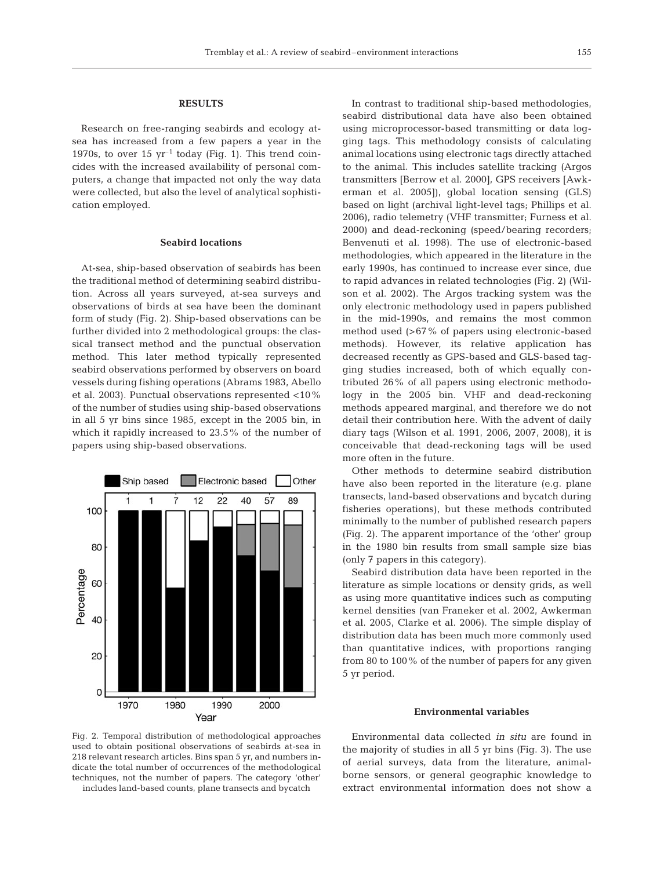#### **RESULTS**

Research on free-ranging seabirds and ecology atsea has increased from a few papers a year in the 1970s, to over 15  $yr^{-1}$  today (Fig. 1). This trend coincides with the increased availability of personal computers, a change that impacted not only the way data were collected, but also the level of analytical sophistication employed.

## **Seabird locations**

At-sea, ship-based observation of seabirds has been the traditional method of determining seabird distribution. Across all years surveyed, at-sea surveys and observations of birds at sea have been the dominant form of study (Fig. 2). Ship-based observations can be further divided into 2 methodological groups: the classical transect method and the punctual observation method. This later method typically represented seabird observations performed by observers on board vessels during fishing operations (Abrams 1983, Abello et al. 2003). Punctual observations represented <10% of the number of studies using ship-based observations in all 5 yr bins since 1985, except in the 2005 bin, in which it rapidly increased to 23.5% of the number of papers using ship-based observations.



In contrast to traditional ship-based methodologies, seabird distributional data have also been obtained using microprocessor-based transmitting or data logging tags. This methodology consists of calculating animal locations using electronic tags directly attached to the animal. This includes satellite tracking (Argos transmitters [Berrow et al. 2000], GPS receivers [Awkerman et al. 2005]), global location sensing (GLS) based on light (archival light-level tags; Phillips et al. 2006), radio telemetry (VHF transmitter; Furness et al. 2000) and dead-reckoning (speed/bearing recorders; Benvenuti et al. 1998). The use of electronic-based methodologies, which appeared in the literature in the early 1990s, has continued to increase ever since, due to rapid advances in related technologies (Fig. 2) (Wilson et al. 2002). The Argos tracking system was the only electronic methodology used in papers published in the mid-1990s, and remains the most common method used (>67% of papers using electronic-based methods). However, its relative application has decreased recently as GPS-based and GLS-based tagging studies increased, both of which equally contributed 26% of all papers using electronic methodology in the 2005 bin. VHF and dead-reckoning methods appeared marginal, and therefore we do not detail their contribution here. With the advent of daily diary tags (Wilson et al. 1991, 2006, 2007, 2008), it is conceivable that dead-reckoning tags will be used more often in the future.

Other methods to determine seabird distribution have also been reported in the literature (e.g. plane transects, land-based observations and bycatch during fisheries operations), but these methods contributed minimally to the number of published research papers (Fig. 2). The apparent importance of the 'other' group in the 1980 bin results from small sample size bias (only 7 papers in this category).

Seabird distribution data have been reported in the literature as simple locations or density grids, as well as using more quantitative indices such as computing kernel densities (van Franeker et al. 2002, Awkerman et al. 2005, Clarke et al. 2006). The simple display of distribution data has been much more commonly used than quantitative indices, with proportions ranging from 80 to 100% of the number of papers for any given 5 yr period.

## **Environmental variables**

Fig. 2. Temporal distribution of methodological approaches used to obtain positional observations of seabirds at-sea in 218 relevant research articles. Bins span 5 yr, and numbers indicate the total number of occurrences of the methodological techniques, not the number of papers. The category 'other' includes land-based counts, plane transects and bycatch

Environmental data collected *in situ* are found in the majority of studies in all 5 yr bins (Fig. 3). The use of aerial surveys, data from the literature, animalborne sensors, or general geographic knowledge to extract environmental information does not show a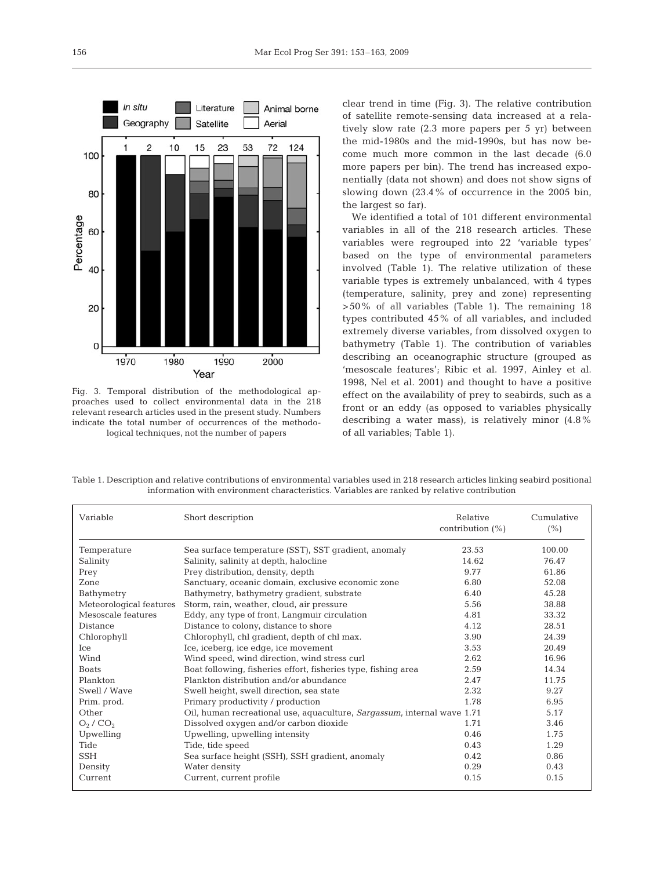

Fig. 3. Temporal distribution of the methodological approaches used to collect environmental data in the 218 relevant research articles used in the present study. Numbers indicate the total number of occurrences of the methodological techniques, not the number of papers

clear trend in time (Fig. 3). The relative contribution of satellite remote-sensing data increased at a relatively slow rate (2.3 more papers per 5 yr) between the mid-1980s and the mid-1990s, but has now become much more common in the last decade (6.0 more papers per bin). The trend has increased exponentially (data not shown) and does not show signs of slowing down (23.4% of occurrence in the 2005 bin, the largest so far).

We identified a total of 101 different environmental variables in all of the 218 research articles. These variables were regrouped into 22 'variable types' based on the type of environmental parameters involved (Table 1). The relative utilization of these variable types is extremely unbalanced, with 4 types (temperature, salinity, prey and zone) representing >50% of all variables (Table 1). The remaining 18 types contributed 45% of all variables, and included extremely diverse variables, from dissolved oxygen to bathymetry (Table 1). The contribution of variables describing an oceanographic structure (grouped as 'mesoscale features'; Ribic et al. 1997, Ainley et al. 1998, Nel et al. 2001) and thought to have a positive effect on the availability of prey to seabirds, such as a front or an eddy (as opposed to variables physically describing a water mass), is relatively minor (4.8% of all variables; Table 1).

| Variable                        | Short description                                                       | Relative<br>contribution $(\%)$ | Cumulative<br>$(\% )$ |
|---------------------------------|-------------------------------------------------------------------------|---------------------------------|-----------------------|
| Temperature                     | Sea surface temperature (SST), SST gradient, anomaly                    | 23.53                           | 100.00                |
| Salinity                        | Salinity, salinity at depth, halocline                                  | 14.62                           | 76.47                 |
| Prey                            | Prey distribution, density, depth                                       | 9.77                            | 61.86                 |
| Zone                            | Sanctuary, oceanic domain, exclusive economic zone                      | 6.80                            | 52.08                 |
| Bathymetry                      | Bathymetry, bathymetry gradient, substrate                              | 6.40                            | 45.28                 |
| Meteorological features         | Storm, rain, weather, cloud, air pressure                               | 5.56                            | 38.88                 |
| Mesoscale features              | Eddy, any type of front, Langmuir circulation                           | 4.81                            | 33.32                 |
| <b>Distance</b>                 | Distance to colony, distance to shore                                   | 4.12                            | 28.51                 |
| Chlorophyll                     | Chlorophyll, chl gradient, depth of chl max.                            | 3.90                            | 24.39                 |
| Ice                             | Ice, iceberg, ice edge, ice movement                                    | 3.53                            | 20.49                 |
| Wind                            | Wind speed, wind direction, wind stress curl                            | 2.62                            | 16.96                 |
| <b>Boats</b>                    | Boat following, fisheries effort, fisheries type, fishing area          | 2.59                            | 14.34                 |
| Plankton                        | Plankton distribution and/or abundance                                  | 2.47                            | 11.75                 |
| Swell / Wave                    | Swell height, swell direction, sea state                                | 2.32                            | 9.27                  |
| Prim. prod.                     | Primary productivity / production                                       | 1.78                            | 6.95                  |
| Other                           | Oil, human recreational use, aquaculture, Sargassum, internal wave 1.71 |                                 | 5.17                  |
| O <sub>2</sub> /CO <sub>2</sub> | Dissolved oxygen and/or carbon dioxide                                  | 1.71                            | 3.46                  |
| Upwelling                       | Upwelling, upwelling intensity                                          | 0.46                            | 1.75                  |
| Tide                            | Tide, tide speed                                                        | 0.43                            | 1.29                  |
| <b>SSH</b>                      | Sea surface height (SSH), SSH gradient, anomaly                         | 0.42                            | 0.86                  |
| Density                         | Water density                                                           | 0.29                            | 0.43                  |
| Current                         | Current, current profile                                                | 0.15                            | 0.15                  |

Table 1. Description and relative contributions of environmental variables used in 218 research articles linking seabird positional information with environment characteristics. Variables are ranked by relative contribution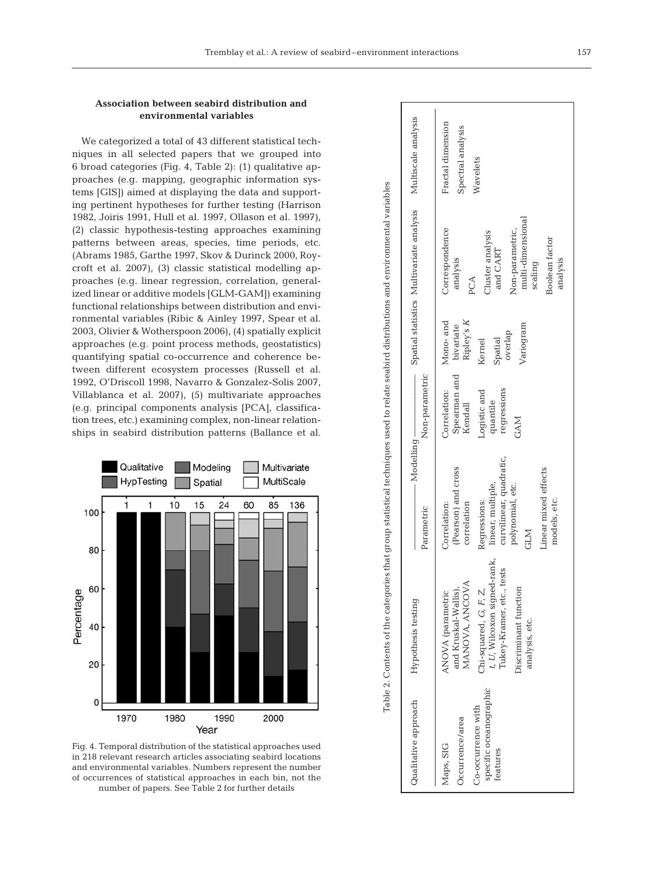# **Association between seabird distribution and environmental variables**

We categorized a total of 43 different statistical techniques in all selected papers that we grouped into 6 broad categories (Fig. 4, Table 2): (1) qualitative approaches (e.g. mapping, geographic information systems [GIS]) aimed at displaying the data and supporting pertinent hypotheses for further testing (Harrison 1982, Joiris 1991, Hull et al. 1997, Ollason et al. 1997), (2) classic hypothesis-testing approaches examining patterns between areas, species, time periods, etc. (Abrams 1985, Garthe 1997, Skov & Durinck 2000, Roycroft et al. 2007), (3) classic statistical modelling approaches (e.g. linear regression, correlation, generalized linear or additive models [GLM-GAM]) examining functional relationships between distribution and environmental variables (Ribic & Ainley 1997, Spear et al. 2003, Olivier & Wotherspoon 2006), (4) spatially explicit approaches (e.g. point process methods, geostatistics) quantifying spatial co-occurrence and coherence between different ecosystem processes (Russell et al. 1992, O'Driscoll 1998, Navarro & Gonzalez-Solis 2007, Villablanca et al. 2007), (5) multivariate approaches (e.g. principal components analysis [PCA], classification trees, etc.) examining complex, non-linear relationships in seabird distribution patterns (Ballance et al.



Fig. 4. Temporal distribution of the statistical approaches used in 218 relevant research articles associating seabird locations and environmental variables. Numbers represent the number of occurrences of statistical approaches in each bin, not the number of papers. See Table 2 for further details

| tests<br>MANOVA, ANCOVA<br>ANOVA (parametric<br>and Kruskal-Wallis).<br>Chi-squared, G, F, Z,<br>Tukey-Kramer, etc.,<br>Discriminant function<br>Hypothesis testing<br>analysis, etc. | curvilinear, quadratic,<br>(Pearson) and cross<br>Linear mixed effects<br>linear, multiple,<br>polynomial, etc.<br>Regressions:<br>Correlation:<br>correlation<br>Parametric<br><b>CLM</b> | Non-parametric<br>Spearman and<br>regressions<br>Correlation:<br>Logistic and<br>quantile<br>Kendall<br><b>GAM</b> | Ripley's K<br>Mono- and<br>bivariate<br>Variogram<br>overlap<br>Spatial<br>Kernel | multi-dimensional<br>Correspondence<br>Non-parametric,<br>Cluster analysis<br>Boolean factor<br>and CART<br>analysis<br>scaling<br>PCA | Fractal dimension<br>Spectral analysis<br>Wavelets           |
|---------------------------------------------------------------------------------------------------------------------------------------------------------------------------------------|--------------------------------------------------------------------------------------------------------------------------------------------------------------------------------------------|--------------------------------------------------------------------------------------------------------------------|-----------------------------------------------------------------------------------|----------------------------------------------------------------------------------------------------------------------------------------|--------------------------------------------------------------|
|                                                                                                                                                                                       |                                                                                                                                                                                            |                                                                                                                    |                                                                                   | analysis                                                                                                                               |                                                              |
|                                                                                                                                                                                       |                                                                                                                                                                                            | models, etc.<br>t, U, Wilcoxon signed-rank,                                                                        | $-Modelling$ —                                                                    |                                                                                                                                        | Spatial statistics Multivariate analysis Multiscale analysis |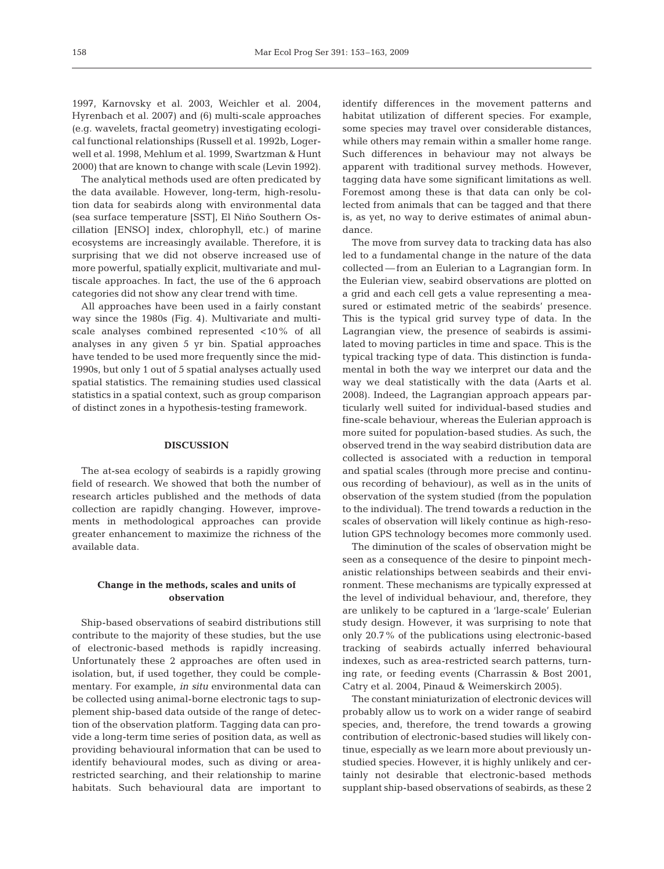1997, Karnovsky et al. 2003, Weichler et al. 2004, Hyrenbach et al. 2007) and (6) multi-scale approaches (e.g. wavelets, fractal geometry) investigating ecological functional relationships (Russell et al. 1992b, Logerwell et al. 1998, Mehlum et al. 1999, Swartzman & Hunt 2000) that are known to change with scale (Levin 1992).

The analytical methods used are often predicated by the data available. However, long-term, high-resolution data for seabirds along with environmental data (sea surface temperature [SST], El Niño Southern Oscillation [ENSO] index, chlorophyll, etc.) of marine ecosystems are increasingly available. Therefore, it is surprising that we did not observe increased use of more powerful, spatially explicit, multivariate and multiscale approaches. In fact, the use of the 6 approach categories did not show any clear trend with time.

All approaches have been used in a fairly constant way since the 1980s (Fig. 4). Multivariate and multiscale analyses combined represented <10% of all analyses in any given 5 yr bin. Spatial approaches have tended to be used more frequently since the mid-1990s, but only 1 out of 5 spatial analyses actually used spatial statistics. The remaining studies used classical statistics in a spatial context, such as group comparison of distinct zones in a hypothesis-testing framework.

#### **DISCUSSION**

The at-sea ecology of seabirds is a rapidly growing field of research. We showed that both the number of research articles published and the methods of data collection are rapidly changing. However, improvements in methodological approaches can provide greater enhancement to maximize the richness of the available data.

# **Change in the methods, scales and units of observation**

Ship-based observations of seabird distributions still contribute to the majority of these studies, but the use of electronic-based methods is rapidly increasing. Unfortunately these 2 approaches are often used in isolation, but, if used together, they could be complementary. For example, *in situ* environmental data can be collected using animal-borne electronic tags to supplement ship-based data outside of the range of detection of the observation platform. Tagging data can provide a long-term time series of position data, as well as providing behavioural information that can be used to identify behavioural modes, such as diving or arearestricted searching, and their relationship to marine habitats. Such behavioural data are important to

identify differences in the movement patterns and habitat utilization of different species. For example, some species may travel over considerable distances, while others may remain within a smaller home range. Such differences in behaviour may not always be apparent with traditional survey methods. However, tagging data have some significant limitations as well. Foremost among these is that data can only be collected from animals that can be tagged and that there is, as yet, no way to derive estimates of animal abundance.

The move from survey data to tracking data has also led to a fundamental change in the nature of the data collected — from an Eulerian to a Lagrangian form. In the Eulerian view, seabird observations are plotted on a grid and each cell gets a value representing a measured or estimated metric of the seabirds' presence. This is the typical grid survey type of data. In the Lagrangian view, the presence of seabirds is assimilated to moving particles in time and space. This is the typical tracking type of data. This distinction is fundamental in both the way we interpret our data and the way we deal statistically with the data (Aarts et al. 2008). Indeed, the Lagrangian approach appears particularly well suited for individual-based studies and fine-scale behaviour, whereas the Eulerian approach is more suited for population-based studies. As such, the observed trend in the way seabird distribution data are collected is associated with a reduction in temporal and spatial scales (through more precise and continuous recording of behaviour), as well as in the units of observation of the system studied (from the population to the individual). The trend towards a reduction in the scales of observation will likely continue as high-resolution GPS technology becomes more commonly used.

The diminution of the scales of observation might be seen as a consequence of the desire to pinpoint mechanistic relationships between seabirds and their environment. These mechanisms are typically expressed at the level of individual behaviour, and, therefore, they are unlikely to be captured in a 'large-scale' Eulerian study design. However, it was surprising to note that only 20.7% of the publications using electronic-based tracking of seabirds actually inferred behavioural indexes, such as area-restricted search patterns, turning rate, or feeding events (Charrassin & Bost 2001, Catry et al. 2004, Pinaud & Weimerskirch 2005).

The constant miniaturization of electronic devices will probably allow us to work on a wider range of seabird species, and, therefore, the trend towards a growing contribution of electronic-based studies will likely continue, especially as we learn more about previously unstudied species. However, it is highly unlikely and certainly not desirable that electronic-based methods supplant ship-based observations of seabirds, as these 2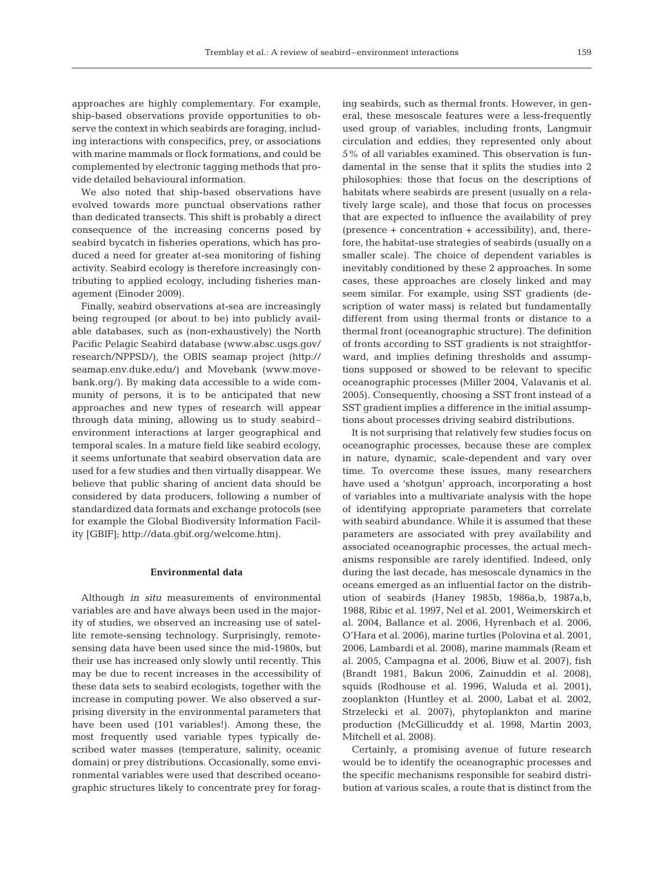approaches are highly complementary. For example, ship-based observations provide opportunities to observe the context in which seabirds are foraging, including interactions with conspecifics, prey, or associations with marine mammals or flock formations, and could be complemented by electronic tagging methods that provide detailed behavioural information.

We also noted that ship-based observations have evolved towards more punctual observations rather than dedicated transects. This shift is probably a direct consequence of the increasing concerns posed by seabird bycatch in fisheries operations, which has produced a need for greater at-sea monitoring of fishing activity. Seabird ecology is therefore increasingly contributing to applied ecology, including fisheries management (Einoder 2009).

Finally, seabird observations at-sea are increasingly being regrouped (or about to be) into publicly available databases, such as (non-exhaustively) the North Pacific Pelagic Seabird database (www.absc.usgs.gov/ research/NPPSD/), the OBIS seamap project (http:// seamap.env.duke.edu/) and Movebank (www.movebank.org/). By making data accessible to a wide community of persons, it is to be anticipated that new approaches and new types of research will appear through data mining, allowing us to study seabird– environment interactions at larger geographical and temporal scales. In a mature field like seabird ecology, it seems unfortunate that seabird observation data are used for a few studies and then virtually disappear. We believe that public sharing of ancient data should be considered by data producers, following a number of standardized data formats and exchange protocols (see for example the Global Biodiversity Information Facility [GBIF]; http://data.gbif.org/welcome.htm).

#### **Environmental data**

Although *in situ* measurements of environmental variables are and have always been used in the majority of studies, we observed an increasing use of satellite remote-sensing technology. Surprisingly, remotesensing data have been used since the mid-1980s, but their use has increased only slowly until recently. This may be due to recent increases in the accessibility of these data sets to seabird ecologists, together with the increase in computing power. We also observed a surprising diversity in the environmental parameters that have been used (101 variables!). Among these, the most frequently used variable types typically described water masses (temperature, salinity, oceanic domain) or prey distributions. Occasionally, some environmental variables were used that described oceanographic structures likely to concentrate prey for foraging seabirds, such as thermal fronts. However, in general, these mesoscale features were a less-frequently used group of variables, including fronts, Langmuir circulation and eddies; they represented only about 5% of all variables examined. This observation is fundamental in the sense that it splits the studies into 2 philosophies: those that focus on the descriptions of habitats where seabirds are present (usually on a relatively large scale), and those that focus on processes that are expected to influence the availability of prey (presence + concentration + accessibility), and, therefore, the habitat-use strategies of seabirds (usually on a smaller scale). The choice of dependent variables is inevitably conditioned by these 2 approaches. In some cases, these approaches are closely linked and may seem similar. For example, using SST gradients (description of water mass) is related but fundamentally different from using thermal fronts or distance to a thermal front (oceanographic structure). The definition of fronts according to SST gradients is not straightforward, and implies defining thresholds and assumptions supposed or showed to be relevant to specific oceanographic processes (Miller 2004, Valavanis et al. 2005). Consequently, choosing a SST front instead of a SST gradient implies a difference in the initial assumptions about processes driving seabird distributions.

It is not surprising that relatively few studies focus on oceanographic processes, because these are complex in nature, dynamic, scale-dependent and vary over time. To overcome these issues, many researchers have used a 'shotgun' approach, incorporating a host of variables into a multivariate analysis with the hope of identifying appropriate parameters that correlate with seabird abundance. While it is assumed that these parameters are associated with prey availability and associated oceanographic processes, the actual mechanisms responsible are rarely identified. Indeed, only during the last decade, has mesoscale dynamics in the oceans emerged as an influential factor on the distribution of seabirds (Haney 1985b, 1986a,b, 1987a,b, 1988, Ribic et al. 1997, Nel et al. 2001, Weimerskirch et al. 2004, Ballance et al. 2006, Hyrenbach et al. 2006, O'Hara et al. 2006), marine turtles (Polovina et al. 2001, 2006, Lambardi et al. 2008), marine mammals (Ream et al. 2005, Campagna et al. 2006, Biuw et al. 2007), fish (Brandt 1981, Bakun 2006, Zainuddin et al. 2008), squids (Rodhouse et al. 1996, Waluda et al. 2001), zooplankton (Huntley et al. 2000, Labat et al. 2002, Strzelecki et al. 2007), phytoplankton and marine production (McGillicuddy et al. 1998, Martin 2003, Mitchell et al. 2008).

Certainly, a promising avenue of future research would be to identify the oceanographic processes and the specific mechanisms responsible for seabird distribution at various scales, a route that is distinct from the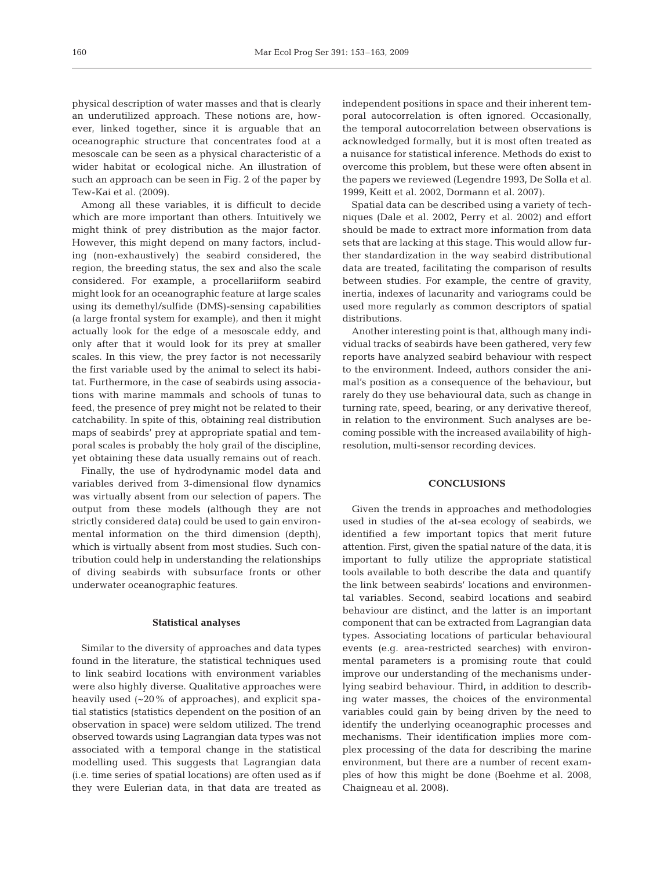physical description of water masses and that is clearly an underutilized approach. These notions are, however, linked together, since it is arguable that an oceanographic structure that concentrates food at a mesoscale can be seen as a physical characteristic of a wider habitat or ecological niche. An illustration of such an approach can be seen in Fig. 2 of the paper by Tew-Kai et al. (2009).

Among all these variables, it is difficult to decide which are more important than others. Intuitively we might think of prey distribution as the major factor. However, this might depend on many factors, including (non-exhaustively) the seabird considered, the region, the breeding status, the sex and also the scale considered. For example, a procellariiform seabird might look for an oceanographic feature at large scales using its demethyl/sulfide (DMS)-sensing capabilities (a large frontal system for example), and then it might actually look for the edge of a mesoscale eddy, and only after that it would look for its prey at smaller scales. In this view, the prey factor is not necessarily the first variable used by the animal to select its habitat. Furthermore, in the case of seabirds using associations with marine mammals and schools of tunas to feed, the presence of prey might not be related to their catchability. In spite of this, obtaining real distribution maps of seabirds' prey at appropriate spatial and temporal scales is probably the holy grail of the discipline, yet obtaining these data usually remains out of reach.

Finally, the use of hydrodynamic model data and variables derived from 3-dimensional flow dynamics was virtually absent from our selection of papers. The output from these models (although they are not strictly considered data) could be used to gain environmental information on the third dimension (depth), which is virtually absent from most studies. Such contribution could help in understanding the relationships of diving seabirds with subsurface fronts or other underwater oceanographic features.

#### **Statistical analyses**

Similar to the diversity of approaches and data types found in the literature, the statistical techniques used to link seabird locations with environment variables were also highly diverse. Qualitative approaches were heavily used (~20% of approaches), and explicit spatial statistics (statistics dependent on the position of an observation in space) were seldom utilized. The trend observed towards using Lagrangian data types was not associated with a temporal change in the statistical modelling used. This suggests that Lagrangian data (i.e. time series of spatial locations) are often used as if they were Eulerian data, in that data are treated as

independent positions in space and their inherent temporal autocorrelation is often ignored. Occasionally, the temporal autocorrelation between observations is acknowledged formally, but it is most often treated as a nuisance for statistical inference. Methods do exist to overcome this problem, but these were often absent in the papers we reviewed (Legendre 1993, De Solla et al. 1999, Keitt et al. 2002, Dormann et al. 2007).

Spatial data can be described using a variety of techniques (Dale et al. 2002, Perry et al. 2002) and effort should be made to extract more information from data sets that are lacking at this stage. This would allow further standardization in the way seabird distributional data are treated, facilitating the comparison of results between studies. For example, the centre of gravity, inertia, indexes of lacunarity and variograms could be used more regularly as common descriptors of spatial distributions.

Another interesting point is that, although many individual tracks of seabirds have been gathered, very few reports have analyzed seabird behaviour with respect to the environment. Indeed, authors consider the animal's position as a consequence of the behaviour, but rarely do they use behavioural data, such as change in turning rate, speed, bearing, or any derivative thereof, in relation to the environment. Such analyses are becoming possible with the increased availability of highresolution, multi-sensor recording devices.

## **CONCLUSIONS**

Given the trends in approaches and methodologies used in studies of the at-sea ecology of seabirds, we identified a few important topics that merit future attention. First, given the spatial nature of the data, it is important to fully utilize the appropriate statistical tools available to both describe the data and quantify the link between seabirds' locations and environmental variables. Second, seabird locations and seabird behaviour are distinct, and the latter is an important component that can be extracted from Lagrangian data types. Associating locations of particular behavioural events (e.g. area-restricted searches) with environmental parameters is a promising route that could improve our understanding of the mechanisms underlying seabird behaviour. Third, in addition to describing water masses, the choices of the environmental variables could gain by being driven by the need to identify the underlying oceanographic processes and mechanisms. Their identification implies more complex processing of the data for describing the marine environment, but there are a number of recent examples of how this might be done (Boehme et al. 2008, Chaigneau et al. 2008).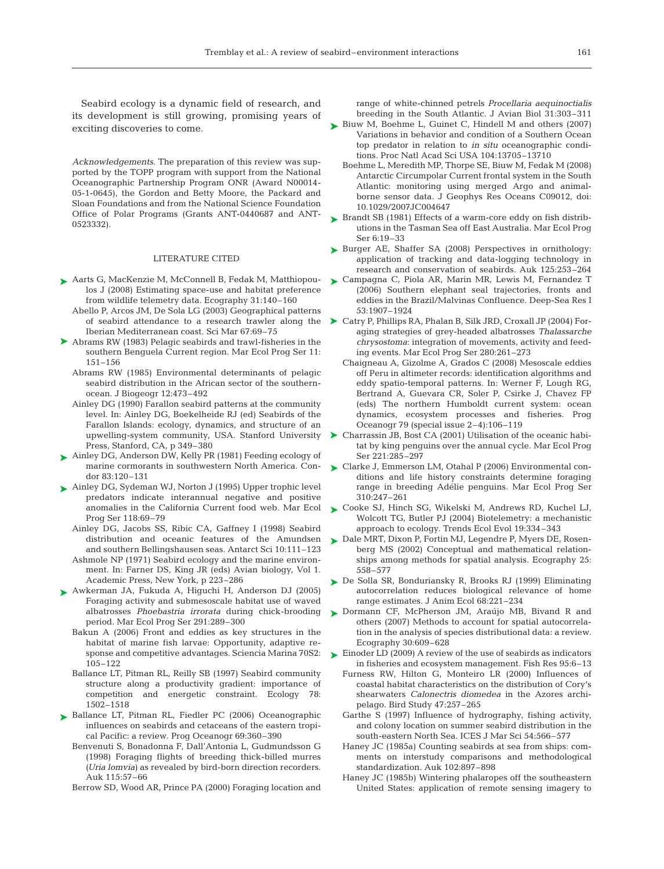Seabird ecology is a dynamic field of research, and its development is still growing, promising years of exciting discoveries to come.

*Acknowledgements*. The preparation of this review was supported by the TOPP program with support from the National Oceanographic Partnership Program ONR (Award N00014- 05-1-0645), the Gordon and Betty Moore, the Packard and Sloan Foundations and from the National Science Foundation Office of Polar Programs (Grants ANT-0440687 and ANT-0523332).

#### LITERATURE CITED

- ► Aarts G, MacKenzie M, McConnell B, Fedak M, Matthiopoulos J (2008) Estimating space-use and habitat preference from wildlife telemetry data. Ecography 31:140–160
	- Abello P, Arcos JM, De Sola LG (2003) Geographical patterns of seabird attendance to a research trawler along the Iberian Mediterranean coast. Sci Mar 67:69–75
- ▶ Abrams RW (1983) Pelagic seabirds and trawl-fisheries in the southern Benguela Current region. Mar Ecol Prog Ser 11: 151–156
	- Abrams RW (1985) Environmental determinants of pelagic seabird distribution in the African sector of the southernocean. J Biogeogr 12:473–492
	- Ainley DG (1990) Farallon seabird patterns at the community level. In: Ainley DG, Boekelheide RJ (ed) Seabirds of the Farallon Islands: ecology, dynamics, and structure of an upwelling-system community, USA. Stanford University Press, Stanford, CA, p 349–380
- ► Ainley DG, Anderson DW, Kelly PR (1981) Feeding ecology of marine cormorants in southwestern North America. Condor 83:120–131
- ► Ainley DG, Sydeman WJ, Norton J (1995) Upper trophic level predators indicate interannual negative and positive anomalies in the California Current food web. Mar Ecol Prog Ser 118:69–79
	- Ainley DG, Jacobs SS, Ribic CA, Gaffney I (1998) Seabird distribution and oceanic features of the Amundsen and southern Bellingshausen seas. Antarct Sci 10:111–123
	- Ashmole NP (1971) Seabird ecology and the marine environment. In: Farner DS, King JR (eds) Avian biology, Vol 1. Academic Press, New York, p 223–286
- Awkerman JA, Fukuda A, Higuchi H, Anderson DJ (2005) ➤ Foraging activity and submesoscale habitat use of waved albatrosses *Phoebastria irrorata* during chick-brooding period. Mar Ecol Prog Ser 291:289–300
	- Bakun A (2006) Front and eddies as key structures in the habitat of marine fish larvae: Opportunity, adaptive response and competitive advantages. Sciencia Marina 70S2: 105–122
	- Ballance LT, Pitman RL, Reilly SB (1997) Seabird community structure along a productivity gradient: importance of competition and energetic constraint. Ecology 78: 1502–1518
- ▶ Ballance LT, Pitman RL, Fiedler PC (2006) Oceanographic influences on seabirds and cetaceans of the eastern tropical Pacific: a review. Prog Oceanogr 69:360–390
	- Benvenuti S, Bonadonna F, Dall'Antonia L, Gudmundsson G (1998) Foraging flights of breeding thick-billed murres *(Uria lomvia*) as revealed by bird-born direction recorders. Auk 115:57–66

Berrow SD, Wood AR, Prince PA (2000) Foraging location and

range of white-chinned petrels *Procellaria aequinoctialis* breeding in the South Atlantic. J Avian Biol 31:303–311

- ► Biuw M, Boehme L, Guinet C, Hindell M and others (2007) Variations in behavior and condition of a Southern Ocean top predator in relation to *in situ* oceanographic conditions. Proc Natl Acad Sci USA 104:13705–13710
	- Boehme L, Meredith MP, Thorpe SE, Biuw M, Fedak M (2008) Antarctic Circumpolar Current frontal system in the South Atlantic: monitoring using merged Argo and animalborne sensor data. J Geophys Res Oceans C09012, doi: 10.1029/2007JC004647
- ► Brandt SB (1981) Effects of a warm-core eddy on fish distributions in the Tasman Sea off East Australia. Mar Ecol Prog Ser 6:19–33
- ► Burger AE, Shaffer SA (2008) Perspectives in ornithology: application of tracking and data-logging technology in research and conservation of seabirds. Auk 125:253–264
- ► Campagna C, Piola AR, Marin MR, Lewis M, Fernandez T (2006) Southern elephant seal trajectories, fronts and eddies in the Brazil/Malvinas Confluence. Deep-Sea Res I 53:1907–1924
- ▶ Catry P, Phillips RA, Phalan B, Silk JRD, Croxall JP (2004) Foraging strategies of grey-headed albatrosses *Thalassarche chrysostoma*: integration of movements, activity and feeding events. Mar Ecol Prog Ser 280:261–273
	- Chaigneau A, Gizolme A, Grados C (2008) Mesoscale eddies off Peru in altimeter records: identification algorithms and eddy spatio-temporal patterns. In: Werner F, Lough RG, Bertrand A, Guevara CR, Soler P, Csirke J, Chavez FP (eds) The northern Humboldt current system: ocean dynamics, ecosystem processes and fisheries. Prog Oceanogr 79 (special issue 2–4):106–119
- ▶ Charrassin JB, Bost CA (2001) Utilisation of the oceanic habitat by king penguins over the annual cycle. Mar Ecol Prog Ser 221:285–297
- ► Clarke J, Emmerson LM, Otahal P (2006) Environmental conditions and life history constraints determine foraging range in breeding Adélie penguins. Mar Ecol Prog Ser 310:247–261
- ► Cooke SJ, Hinch SG, Wikelski M, Andrews RD, Kuchel LJ, Wolcott TG, Butler PJ (2004) Biotelemetry: a mechanistic approach to ecology. Trends Ecol Evol 19:334–343
- ► Dale MRT, Dixon P, Fortin MJ, Legendre P, Myers DE, Rosenberg MS (2002) Conceptual and mathematical relationships among methods for spatial analysis. Ecography 25: 558–577
- ► De Solla SR, Bonduriansky R, Brooks RJ (1999) Eliminating autocorrelation reduces biological relevance of home range estimates. J Anim Ecol 68:221–234
- ▶ Dormann CF, McPherson JM, Araújo MB, Bivand R and others (2007) Methods to account for spatial autocorrelation in the analysis of species distributional data: a review. Ecography 30:609–628
- ► Einoder LD (2009) A review of the use of seabirds as indicators in fisheries and ecosystem management. Fish Res 95:6–13
	- Furness RW, Hilton G, Monteiro LR (2000) Influences of coastal habitat characteristics on the distribution of Cory's shearwaters *Calonectris diomedea* in the Azores archipelago. Bird Study 47:257–265
	- Garthe S (1997) Influence of hydrography, fishing activity, and colony location on summer seabird distribution in the south-eastern North Sea. ICES J Mar Sci 54:566–577
	- Haney JC (1985a) Counting seabirds at sea from ships: comments on interstudy comparisons and methodological standardization. Auk 102:897–898
	- Haney JC (1985b) Wintering phalaropes off the southeastern United States: application of remote sensing imagery to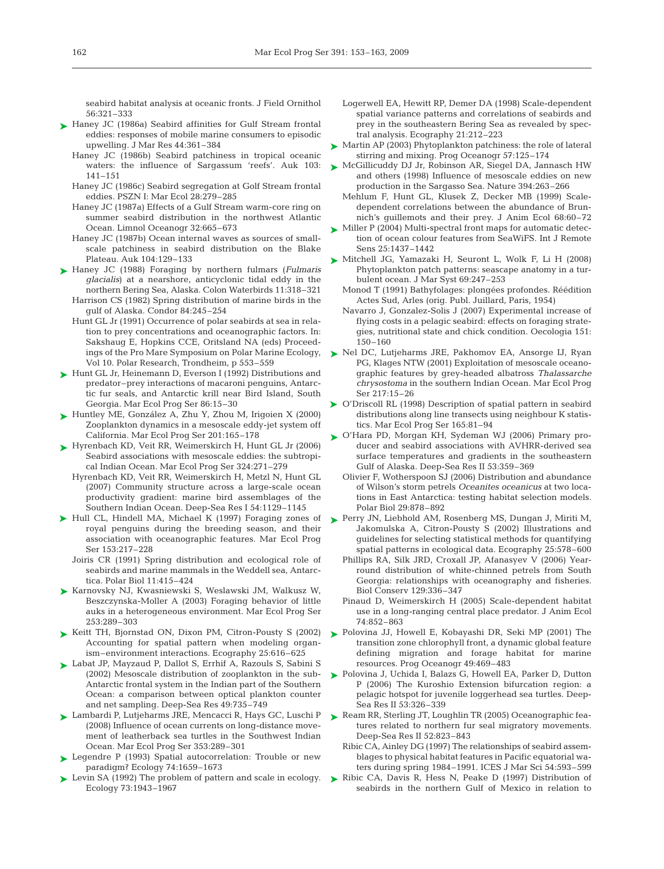seabird habitat analysis at oceanic fronts. J Field Ornithol 56:321–333

- ► Haney JC (1986a) Seabird affinities for Gulf Stream frontal eddies: responses of mobile marine consumers to episodic upwelling. J Mar Res 44:361–384
	- Haney JC (1986b) Seabird patchiness in tropical oceanic waters: the influence of Sargassum 'reefs'. Auk 103: 141–151
	- Haney JC (1986c) Seabird segregation at Golf Stream frontal eddies. PSZN I: Mar Ecol 28:279–285
	- Haney JC (1987a) Effects of a Gulf Stream warm-core ring on summer seabird distribution in the northwest Atlantic Ocean. Limnol Oceanogr 32:665–673
	- Haney JC (1987b) Ocean internal waves as sources of smallscale patchiness in seabird distribution on the Blake Plateau. Auk 104:129–133
- ► Haney JC (1988) Foraging by northern fulmars (*Fulmaris glacialis*) at a nearshore, anticyclonic tidal eddy in the northern Bering Sea, Alaska. Colon Waterbirds 11:318–321 Harrison CS (1982) Spring distribution of marine birds in the
	- gulf of Alaska. Condor 84:245–254 Hunt GL Jr (1991) Occurrence of polar seabirds at sea in relation to prey concentrations and oceanographic factors. In: Sakshaug E, Hopkins CCE, Oritsland NA (eds) Proceedings of the Pro Mare Symposium on Polar Marine Ecology, Vol 10. Polar Research, Trondheim, p 553–559
- ► Hunt GL Jr, Heinemann D, Everson I (1992) Distributions and predator–prey interactions of macaroni penguins, Antarctic fur seals, and Antarctic krill near Bird Island, South Georgia. Mar Ecol Prog Ser 86:15–30
- ► Huntley ME, González A, Zhu Y, Zhou M, Irigoien X (2000) Zooplankton dynamics in a mesoscale eddy-jet system off California. Mar Ecol Prog Ser 201:165–178
- ► Hyrenbach KD, Veit RR, Weimerskirch H, Hunt GL Jr (2006) Seabird associations with mesoscale eddies: the subtropical Indian Ocean. Mar Ecol Prog Ser 324:271–279
	- Hyrenbach KD, Veit RR, Weimerskirch H, Metzl N, Hunt GL (2007) Community structure across a large-scale ocean productivity gradient: marine bird assemblages of the Southern Indian Ocean. Deep-Sea Res I 54:1129–1145
- ▶ Hull CL, Hindell MA, Michael K (1997) Foraging zones of royal penguins during the breeding season, and their association with oceanographic features. Mar Ecol Prog Ser 153:217–228
	- Joiris CR (1991) Spring distribution and ecological role of seabirds and marine mammals in the Weddell sea, Antarctica. Polar Biol 11:415–424
- ▶ Karnovsky NJ, Kwasniewski S, Weslawski JM, Walkusz W, Beszczynska-Moller A (2003) Foraging behavior of little auks in a heterogeneous environment. Mar Ecol Prog Ser 253:289–303
- ▶ Keitt TH, Bjornstad ON, Dixon PM, Citron-Pousty S (2002) Accounting for spatial pattern when modeling organism–environment interactions. Ecography 25:616–625
- ► Labat JP, Mayzaud P, Dallot S, Errhif A, Razouls S, Sabini S (2002) Mesoscale distribution of zooplankton in the sub-Antarctic frontal system in the Indian part of the Southern Ocean: a comparison between optical plankton counter and net sampling. Deep-Sea Res 49:735–749
- ► Lambardi P, Lutjeharms JRE, Mencacci R, Hays GC, Luschi P (2008) Influence of ocean currents on long-distance movement of leatherback sea turtles in the Southwest Indian Ocean. Mar Ecol Prog Ser 353:289–301
- ► Legendre P (1993) Spatial autocorrelation: Trouble or new paradigm? Ecology 74:1659–1673
- Levin SA (1992) The problem of pattern and scale in ecology. Ecology 73:1943–1967 ➤
- Logerwell EA, Hewitt RP, Demer DA (1998) Scale-dependent spatial variance patterns and correlations of seabirds and prey in the southeastern Bering Sea as revealed by spectral analysis. Ecography 21:212–223
- ► Martin AP (2003) Phytoplankton patchiness: the role of lateral stirring and mixing. Prog Oceanogr 57:125–174
- ► McGillicuddy DJ Jr, Robinson AR, Siegel DA, Jannasch HW and others (1998) Influence of mesoscale eddies on new production in the Sargasso Sea. Nature 394:263–266
	- Mehlum F, Hunt GL, Klusek Z, Decker MB (1999) Scaledependent correlations between the abundance of Brunnich's guillemots and their prey. J Anim Ecol 68:60–72
- ► Miller P (2004) Multi-spectral front maps for automatic detection of ocean colour features from SeaWiFS. Int J Remote Sens 25:1437–1442
- ► Mitchell JG, Yamazaki H, Seuront L, Wolk F, Li H (2008) Phytoplankton patch patterns: seascape anatomy in a turbulent ocean. J Mar Syst 69:247–253
	- Monod T (1991) Bathyfolages: plongées profondes. Réédition Actes Sud, Arles (orig. Publ. Juillard, Paris, 1954)
	- Navarro J, Gonzalez-Solis J (2007) Experimental increase of flying costs in a pelagic seabird: effects on foraging strategies, nutritional state and chick condition. Oecologia 151: 150–160
- ► Nel DC, Lutjeharms JRE, Pakhomov EA, Ansorge IJ, Ryan PG, Klages NTW (2001) Exploitation of mesoscale oceanographic features by grey-headed albatross *Thalassarche chrysostoma* in the southern Indian Ocean. Mar Ecol Prog Ser 217:15–26
- ▶ O'Driscoll RL (1998) Description of spatial pattern in seabird distributions along line transects using neighbour K statistics. Mar Ecol Prog Ser 165:81–94
- ► O'Hara PD, Morgan KH, Sydeman WJ (2006) Primary producer and seabird associations with AVHRR-derived sea surface temperatures and gradients in the southeastern Gulf of Alaska. Deep-Sea Res II 53:359–369
	- Olivier F, Wotherspoon SJ (2006) Distribution and abundance of Wilson's storm petrels *Oceanites oceanicus* at two locations in East Antarctica: testing habitat selection models. Polar Biol 29:878–892
- ► Perry JN, Liebhold AM, Rosenberg MS, Dungan J, Miriti M, Jakomulska A, Citron-Pousty S (2002) Illustrations and guidelines for selecting statistical methods for quantifying spatial patterns in ecological data. Ecography 25:578–600
	- Phillips RA, Silk JRD, Croxall JP, Afanasyev V (2006) Yearround distribution of white-chinned petrels from South Georgia: relationships with oceanography and fisheries. Biol Conserv 129:336–347
	- Pinaud D, Weimerskirch H (2005) Scale-dependent habitat use in a long-ranging central place predator. J Anim Ecol 74:852–863
- ▶ Polovina JJ, Howell E, Kobayashi DR, Seki MP (2001) The transition zone chlorophyll front, a dynamic global feature defining migration and forage habitat for marine resources. Prog Oceanogr 49:469–483
- ▶ Polovina J, Uchida I, Balazs G, Howell EA, Parker D, Dutton P (2006) The Kuroshio Extension bifurcation region: a pelagic hotspot for juvenile loggerhead sea turtles. Deep-Sea Res II 53:326–339
- ▶ Ream RR, Sterling JT, Loughlin TR (2005) Oceanographic features related to northern fur seal migratory movements. Deep-Sea Res II 52:823–843
	- Ribic CA, Ainley DG (1997) The relationships of seabird assemblages to physical habitat features in Pacific equatorial waters during spring 1984–1991. ICES J Mar Sci 54:593–599
- ▶ Ribic CA, Davis R, Hess N, Peake D (1997) Distribution of seabirds in the northern Gulf of Mexico in relation to